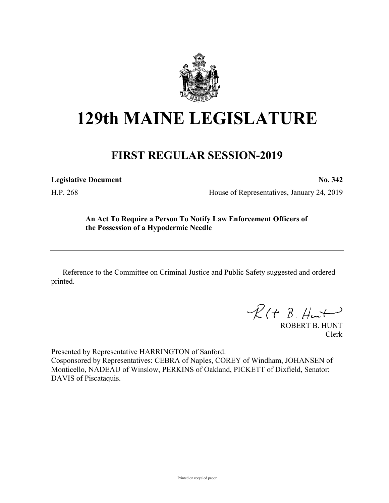

## **129th MAINE LEGISLATURE**

## **FIRST REGULAR SESSION-2019**

**Legislative Document No. 342**

H.P. 268 House of Representatives, January 24, 2019

## **An Act To Require a Person To Notify Law Enforcement Officers of the Possession of a Hypodermic Needle**

Reference to the Committee on Criminal Justice and Public Safety suggested and ordered printed.

 $R(H B. H<sub>un</sub>+)$ 

ROBERT B. HUNT Clerk

Presented by Representative HARRINGTON of Sanford. Cosponsored by Representatives: CEBRA of Naples, COREY of Windham, JOHANSEN of Monticello, NADEAU of Winslow, PERKINS of Oakland, PICKETT of Dixfield, Senator: DAVIS of Piscataquis.